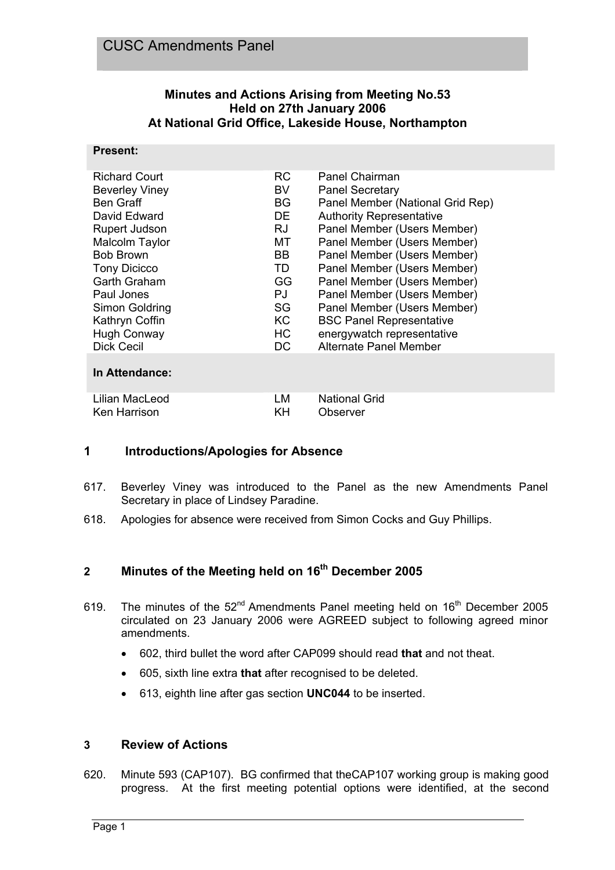## **Minutes and Actions Arising from Meeting No.53 Held on 27th January 2006 At National Grid Office, Lakeside House, Northampton**

#### **Present:**

| <b>Richard Court</b><br><b>Beverley Viney</b><br><b>Ben Graff</b><br>David Edward<br><b>Rupert Judson</b><br>Malcolm Taylor<br><b>Bob Brown</b><br><b>Tony Dicicco</b><br>Garth Graham<br>Paul Jones<br>Simon Goldring<br>Kathryn Coffin<br><b>Hugh Conway</b> | RC.<br>BV<br>BG.<br>DE.<br>RJ.<br>MT.<br>BB.<br>TD.<br><b>GG</b><br>PJ<br>SG<br>KC.<br>HC . | Panel Chairman<br><b>Panel Secretary</b><br>Panel Member (National Grid Rep)<br><b>Authority Representative</b><br>Panel Member (Users Member)<br>Panel Member (Users Member)<br>Panel Member (Users Member)<br>Panel Member (Users Member)<br>Panel Member (Users Member)<br>Panel Member (Users Member)<br>Panel Member (Users Member)<br><b>BSC Panel Representative</b><br>energywatch representative |
|----------------------------------------------------------------------------------------------------------------------------------------------------------------------------------------------------------------------------------------------------------------|---------------------------------------------------------------------------------------------|-----------------------------------------------------------------------------------------------------------------------------------------------------------------------------------------------------------------------------------------------------------------------------------------------------------------------------------------------------------------------------------------------------------|
| <b>Dick Cecil</b>                                                                                                                                                                                                                                              | DC                                                                                          | Alternate Panel Member                                                                                                                                                                                                                                                                                                                                                                                    |
| In Attendance:                                                                                                                                                                                                                                                 |                                                                                             |                                                                                                                                                                                                                                                                                                                                                                                                           |
| Lilian MacLeod<br>Ken Harrison                                                                                                                                                                                                                                 | LM<br>ΚH                                                                                    | <b>National Grid</b><br>Observer                                                                                                                                                                                                                                                                                                                                                                          |

## **1 Introductions/Apologies for Absence**

- 617. Beverley Viney was introduced to the Panel as the new Amendments Panel Secretary in place of Lindsey Paradine.
- 618. Apologies for absence were received from Simon Cocks and Guy Phillips.

# 2 Minutes of the Meeting held on 16<sup>th</sup> December 2005

- 619. The minutes of the  $52<sup>nd</sup>$  Amendments Panel meeting held on  $16<sup>th</sup>$  December 2005 circulated on 23 January 2006 were AGREED subject to following agreed minor amendments.
	- 602, third bullet the word after CAP099 should read **that** and not theat.
	- 605, sixth line extra **that** after recognised to be deleted.
	- 613, eighth line after gas section **UNC044** to be inserted.

#### **3 Review of Actions**

620. Minute 593 (CAP107). BG confirmed that theCAP107 working group is making good progress. At the first meeting potential options were identified, at the second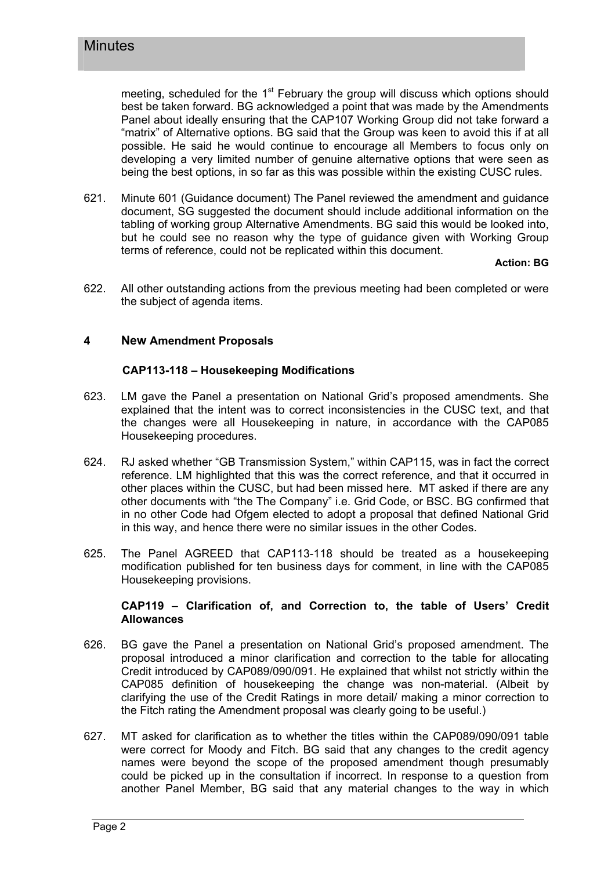meeting, scheduled for the  $1<sup>st</sup>$  February the group will discuss which options should best be taken forward. BG acknowledged a point that was made by the Amendments Panel about ideally ensuring that the CAP107 Working Group did not take forward a "matrix" of Alternative options. BG said that the Group was keen to avoid this if at all possible. He said he would continue to encourage all Members to focus only on developing a very limited number of genuine alternative options that were seen as being the best options, in so far as this was possible within the existing CUSC rules.

621. Minute 601 (Guidance document) The Panel reviewed the amendment and guidance document, SG suggested the document should include additional information on the tabling of working group Alternative Amendments. BG said this would be looked into, but he could see no reason why the type of guidance given with Working Group terms of reference, could not be replicated within this document.

**Action: BG**

622. All other outstanding actions from the previous meeting had been completed or were the subject of agenda items.

#### **4 New Amendment Proposals**

#### **CAP113-118 – Housekeeping Modifications**

- 623. LM gave the Panel a presentation on National Grid's proposed amendments. She explained that the intent was to correct inconsistencies in the CUSC text, and that the changes were all Housekeeping in nature, in accordance with the CAP085 Housekeeping procedures.
- 624. RJ asked whether "GB Transmission System," within CAP115, was in fact the correct reference. LM highlighted that this was the correct reference, and that it occurred in other places within the CUSC, but had been missed here. MT asked if there are any other documents with "the The Company" i.e. Grid Code, or BSC. BG confirmed that in no other Code had Ofgem elected to adopt a proposal that defined National Grid in this way, and hence there were no similar issues in the other Codes.
- 625. The Panel AGREED that CAP113-118 should be treated as a housekeeping modification published for ten business days for comment, in line with the CAP085 Housekeeping provisions.

#### **CAP119 – Clarification of, and Correction to, the table of Users' Credit Allowances**

- 626. BG gave the Panel a presentation on National Grid's proposed amendment. The proposal introduced a minor clarification and correction to the table for allocating Credit introduced by CAP089/090/091. He explained that whilst not strictly within the CAP085 definition of housekeeping the change was non-material. (Albeit by clarifying the use of the Credit Ratings in more detail/ making a minor correction to the Fitch rating the Amendment proposal was clearly going to be useful.)
- 627. MT asked for clarification as to whether the titles within the CAP089/090/091 table were correct for Moody and Fitch. BG said that any changes to the credit agency names were beyond the scope of the proposed amendment though presumably could be picked up in the consultation if incorrect. In response to a question from another Panel Member, BG said that any material changes to the way in which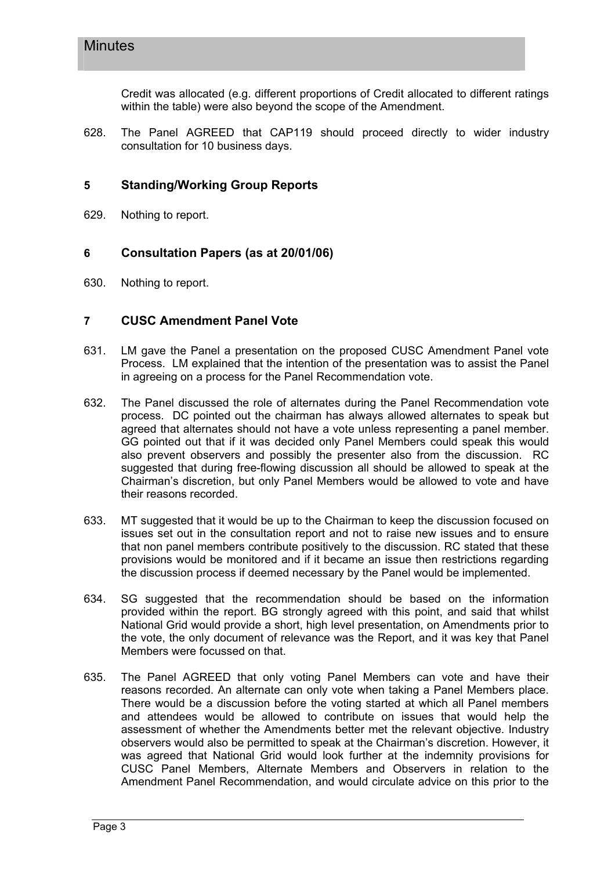Credit was allocated (e.g. different proportions of Credit allocated to different ratings within the table) were also beyond the scope of the Amendment.

628. The Panel AGREED that CAP119 should proceed directly to wider industry consultation for 10 business days.

## **5 Standing/Working Group Reports**

629. Nothing to report.

## **6 Consultation Papers (as at 20/01/06)**

630. Nothing to report.

## **7 CUSC Amendment Panel Vote**

- 631. LM gave the Panel a presentation on the proposed CUSC Amendment Panel vote Process. LM explained that the intention of the presentation was to assist the Panel in agreeing on a process for the Panel Recommendation vote.
- 632. The Panel discussed the role of alternates during the Panel Recommendation vote process. DC pointed out the chairman has always allowed alternates to speak but agreed that alternates should not have a vote unless representing a panel member. GG pointed out that if it was decided only Panel Members could speak this would also prevent observers and possibly the presenter also from the discussion. RC suggested that during free-flowing discussion all should be allowed to speak at the Chairman's discretion, but only Panel Members would be allowed to vote and have their reasons recorded.
- 633. MT suggested that it would be up to the Chairman to keep the discussion focused on issues set out in the consultation report and not to raise new issues and to ensure that non panel members contribute positively to the discussion. RC stated that these provisions would be monitored and if it became an issue then restrictions regarding the discussion process if deemed necessary by the Panel would be implemented.
- 634. SG suggested that the recommendation should be based on the information provided within the report. BG strongly agreed with this point, and said that whilst National Grid would provide a short, high level presentation, on Amendments prior to the vote, the only document of relevance was the Report, and it was key that Panel Members were focussed on that.
- 635. The Panel AGREED that only voting Panel Members can vote and have their reasons recorded. An alternate can only vote when taking a Panel Members place. There would be a discussion before the voting started at which all Panel members and attendees would be allowed to contribute on issues that would help the assessment of whether the Amendments better met the relevant objective. Industry observers would also be permitted to speak at the Chairman's discretion. However, it was agreed that National Grid would look further at the indemnity provisions for CUSC Panel Members, Alternate Members and Observers in relation to the Amendment Panel Recommendation, and would circulate advice on this prior to the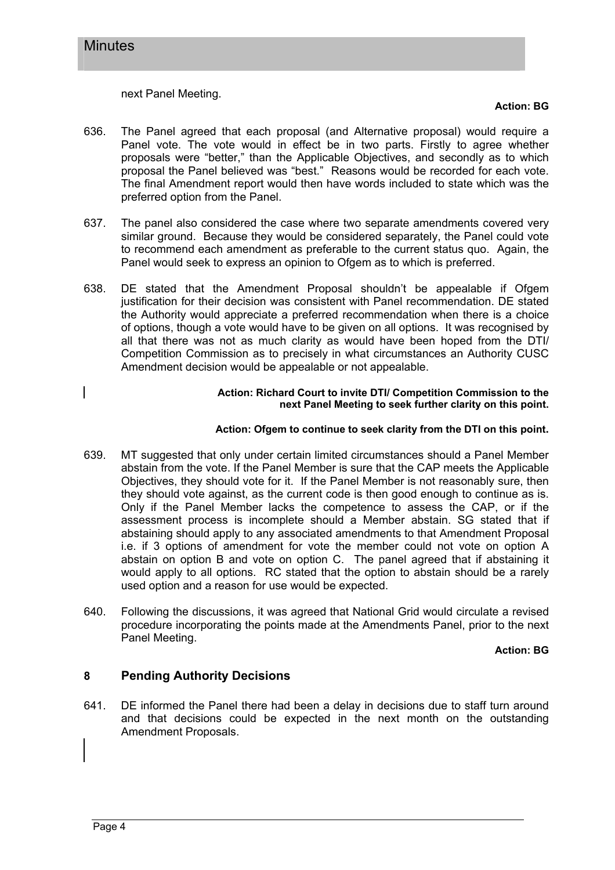next Panel Meeting.

#### **Action: BG**

- 636. The Panel agreed that each proposal (and Alternative proposal) would require a Panel vote. The vote would in effect be in two parts. Firstly to agree whether proposals were "better," than the Applicable Objectives, and secondly as to which proposal the Panel believed was "best." Reasons would be recorded for each vote. The final Amendment report would then have words included to state which was the preferred option from the Panel.
- 637. The panel also considered the case where two separate amendments covered very similar ground. Because they would be considered separately, the Panel could vote to recommend each amendment as preferable to the current status quo. Again, the Panel would seek to express an opinion to Ofgem as to which is preferred.
- 638. DE stated that the Amendment Proposal shouldn't be appealable if Ofgem justification for their decision was consistent with Panel recommendation. DE stated the Authority would appreciate a preferred recommendation when there is a choice of options, though a vote would have to be given on all options. It was recognised by all that there was not as much clarity as would have been hoped from the DTI/ Competition Commission as to precisely in what circumstances an Authority CUSC Amendment decision would be appealable or not appealable.

#### **Action: Richard Court to invite DTI/ Competition Commission to the next Panel Meeting to seek further clarity on this point.**

#### **Action: Ofgem to continue to seek clarity from the DTI on this point.**

- 639. MT suggested that only under certain limited circumstances should a Panel Member abstain from the vote. If the Panel Member is sure that the CAP meets the Applicable Objectives, they should vote for it. If the Panel Member is not reasonably sure, then they should vote against, as the current code is then good enough to continue as is. Only if the Panel Member lacks the competence to assess the CAP, or if the assessment process is incomplete should a Member abstain. SG stated that if abstaining should apply to any associated amendments to that Amendment Proposal i.e. if 3 options of amendment for vote the member could not vote on option A abstain on option B and vote on option C. The panel agreed that if abstaining it would apply to all options. RC stated that the option to abstain should be a rarely used option and a reason for use would be expected.
- 640. Following the discussions, it was agreed that National Grid would circulate a revised procedure incorporating the points made at the Amendments Panel, prior to the next Panel Meeting.

**Action: BG**

## **8 Pending Authority Decisions**

641. DE informed the Panel there had been a delay in decisions due to staff turn around and that decisions could be expected in the next month on the outstanding Amendment Proposals.